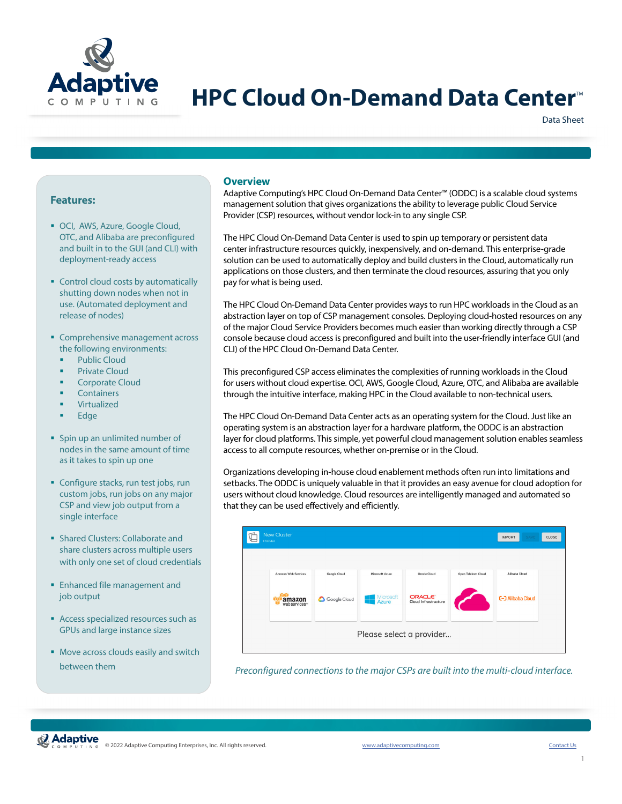

# **HPC Cloud On-Demand Data Center**<sup>®</sup>

Data Sheet

# **Features:**

- OCI, AWS, Azure, Google Cloud, OTC, and Alibaba are preconfigured and built in to the GUI (and CLI) with deployment-ready access
- **Control cloud costs by automatically** shutting down nodes when not in use. (Automated deployment and release of nodes)
- **Comprehensive management across** the following environments:
	- **Public Cloud**
	- Private Cloud
	- **•** Corporate Cloud
	- **Containers**
	- Virtualized
	- **Edge**
- **Spin up an unlimited number of** nodes in the same amount of time as it takes to spin up one
- Configure stacks, run test jobs, run custom jobs, run jobs on any major CSP and view job output from a single interface
- **Shared Clusters: Collaborate and** share clusters across multiple users with only one set of cloud credentials
- **Enhanced file management and** job output
- **Access specialized resources such as** GPUs and large instance sizes
- **Move across clouds easily and switch** between them

# **Overview**

Adaptive Computing's HPC Cloud On-Demand Data Center™ (ODDC) is a scalable cloud systems management solution that gives organizations the ability to leverage public Cloud Service Provider (CSP) resources, without vendor lock-in to any single CSP.

The HPC Cloud On-Demand Data Center is used to spin up temporary or persistent data center infrastructure resources quickly, inexpensively, and on-demand. This enterprise-grade solution can be used to automatically deploy and build clusters in the Cloud, automatically run applications on those clusters, and then terminate the cloud resources, assuring that you only pay for what is being used.

The HPC Cloud On-Demand Data Center provides ways to run HPC workloads in the Cloud as an abstraction layer on top of CSP management consoles. Deploying cloud-hosted resources on any of the major Cloud Service Providers becomes much easier than working directly through a CSP console because cloud access is preconfigured and built into the user-friendly interface GUI (and CLI) of the HPC Cloud On-Demand Data Center.

This preconfigured CSP access eliminates the complexities of running workloads in the Cloud for users without cloud expertise. OCI, AWS, Google Cloud, Azure, OTC, and Alibaba are available through the intuitive interface, making HPC in the Cloud available to non-technical users.

The HPC Cloud On-Demand Data Center acts as an operating system for the Cloud. Just like an operating system is an abstraction layer for a hardware platform, the ODDC is an abstraction layer for cloud platforms. This simple, yet powerful cloud management solution enables seamless access to all compute resources, whether on-premise or in the Cloud.

Organizations developing in-house cloud enablement methods often run into limitations and setbacks. The ODDC is uniquely valuable in that it provides an easy avenue for cloud adoption for users without cloud knowledge. Cloud resources are intelligently managed and automated so that they can be used effectively and efficiently.



*Preconfigured connections to the major CSPs are built into the multi-cloud interface.*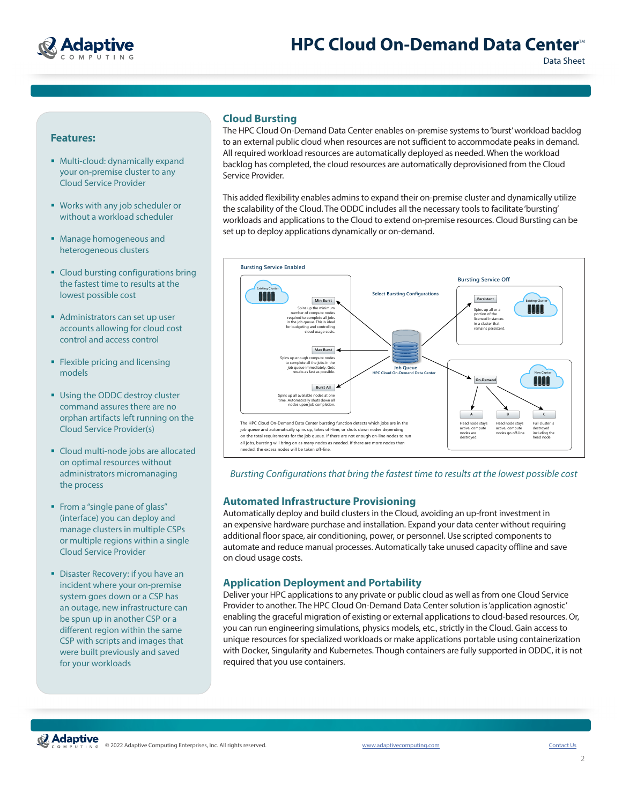

# **Features:**

- Multi-cloud: dynamically expand your on-premise cluster to any Cloud Service Provider
- Works with any job scheduler or without a workload scheduler
- Manage homogeneous and heterogeneous clusters
- Cloud bursting configurations bring the fastest time to results at the lowest possible cost
- **Administrators can set up user** accounts allowing for cloud cost control and access control
- **Flexible pricing and licensing** models
- **Using the ODDC destroy cluster** command assures there are no orphan artifacts left running on the Cloud Service Provider(s)
- Cloud multi-node jobs are allocated on optimal resources without administrators micromanaging the process
- From a "single pane of glass" (interface) you can deploy and manage clusters in multiple CSPs or multiple regions within a single Cloud Service Provider
- **Disaster Recovery: if you have an** incident where your on-premise system goes down or a CSP has an outage, new infrastructure can be spun up in another CSP or a different region within the same CSP with scripts and images that were built previously and saved for your workloads

# **Cloud Bursting**

The HPC Cloud On-Demand Data Center enables on-premise systems to 'burst' workload backlog to an external public cloud when resources are not sufficient to accommodate peaks in demand. All required workload resources are automatically deployed as needed. When the workload backlog has completed, the cloud resources are automatically deprovisioned from the Cloud Service Provider.

This added flexibility enables admins to expand their on-premise cluster and dynamically utilize the scalability of the Cloud. The ODDC includes all the necessary tools to facilitate 'bursting' workloads and applications to the Cloud to extend on-premise resources. Cloud Bursting can be set up to deploy applications dynamically or on-demand.



*Bursting Configurations that bring the fastest time to results at the lowest possible cost*

#### **Automated Infrastructure Provisioning**

Automatically deploy and build clusters in the Cloud, avoiding an up-front investment in an expensive hardware purchase and installation. Expand your data center without requiring additional floor space, air conditioning, power, or personnel. Use scripted components to automate and reduce manual processes. Automatically take unused capacity offline and save on cloud usage costs.

# **Application Deployment and Portability**

Deliver your HPC applications to any private or public cloud as well as from one Cloud Service Provider to another. The HPC Cloud On-Demand Data Center solution is 'application agnostic' enabling the graceful migration of existing or external applications to cloud-based resources. Or, you can run engineering simulations, physics models, etc., strictly in the Cloud. Gain access to unique resources for specialized workloads or make applications portable using containerization with Docker, Singularity and Kubernetes. Though containers are fully supported in ODDC, it is not required that you use containers.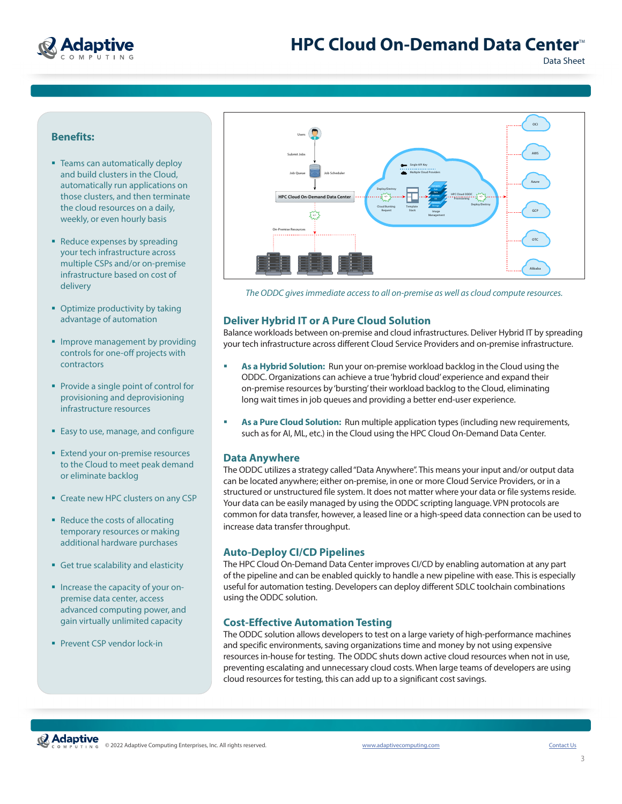

Data Sheet

# **Benefits:**

- **Teams can automatically deploy** and build clusters in the Cloud, automatically run applications on those clusters, and then terminate the cloud resources on a daily, weekly, or even hourly basis
- Reduce expenses by spreading your tech infrastructure across multiple CSPs and/or on-premise infrastructure based on cost of delivery
- Optimize productivity by taking advantage of automation
- **Improve management by providing** controls for one-off projects with contractors
- **Provide a single point of control for** provisioning and deprovisioning infrastructure resources
- **Easy to use, manage, and configure**
- **Extend your on-premise resources** to the Cloud to meet peak demand or eliminate backlog
- **Create new HPC clusters on any CSP**
- Reduce the costs of allocating temporary resources or making additional hardware purchases
- Get true scalability and elasticity
- **Increase the capacity of your on**premise data center, access advanced computing power, and gain virtually unlimited capacity
- **Prevent CSP vendor lock-in**



 $H$  Cloud  $\mathcal{N}$  and  $\mathcal{N}$  and  $\mathcal{N}$  and  $\mathcal{N}$ 

*The ODDC gives immediate access to all on-premise as well as cloud compute resources.*

# **Deliver Hybrid IT or A Pure Cloud Solution**

Balance workloads between on-premise and cloud infrastructures. Deliver Hybrid IT by spreading your tech infrastructure across different Cloud Service Providers and on-premise infrastructure.

- **As a Hybrid Solution:** Run your on-premise workload backlog in the Cloud using the ODDC. Organizations can achieve a true 'hybrid cloud' experience and expand their on-premise resources by 'bursting' their workload backlog to the Cloud, eliminating long wait times in job queues and providing a better end-user experience.
- **As a Pure Cloud Solution:** Run multiple application types (including new requirements, such as for AI, ML, etc.) in the Cloud using the HPC Cloud On-Demand Data Center.

#### **Data Anywhere**

The ODDC utilizes a strategy called "Data Anywhere". This means your input and/or output data can be located anywhere; either on-premise, in one or more Cloud Service Providers, or in a structured or unstructured file system. It does not matter where your data or file systems reside. Your data can be easily managed by using the ODDC scripting language. VPN protocols are common for data transfer, however, a leased line or a high-speed data connection can be used to increase data transfer throughput.

### **Auto-Deploy CI/CD Pipelines**

The HPC Cloud On-Demand Data Center improves CI/CD by enabling automation at any part of the pipeline and can be enabled quickly to handle a new pipeline with ease. This is especially useful for automation testing. Developers can deploy different SDLC toolchain combinations using the ODDC solution.

# **Cost-Effective Automation Testing**

The ODDC solution allows developers to test on a large variety of high-performance machines and specific environments, saving organizations time and money by not using expensive resources in-house for testing. The ODDC shuts down active cloud resources when not in use, preventing escalating and unnecessary cloud costs. When large teams of developers are using cloud resources for testing, this can add up to a significant cost savings.